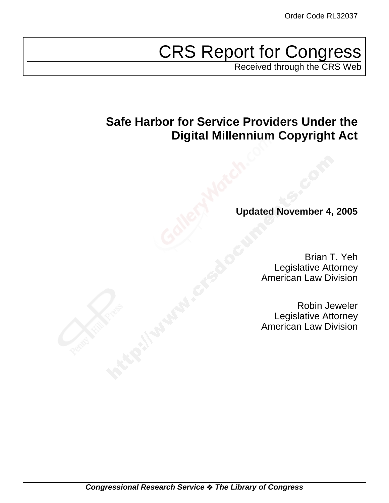# CRS Report for Congress

Received through the CRS Web

# **Safe Harbor for Service Providers Under the Digital Millennium Copyright Act**

# **Updated November 4, 2005**

Brian T. Yeh Legislative Attorney American Law Division

Robin Jeweler Legislative Attorney American Law Division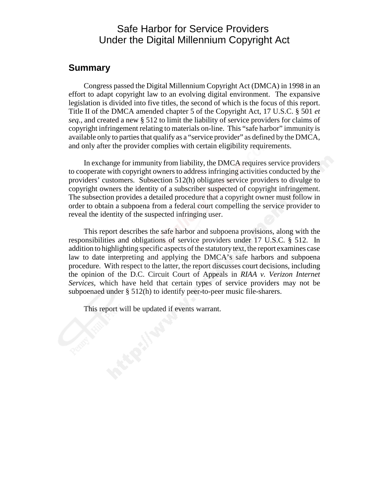# Safe Harbor for Service Providers Under the Digital Millennium Copyright Act

## **Summary**

Congress passed the Digital Millennium Copyright Act (DMCA) in 1998 in an effort to adapt copyright law to an evolving digital environment. The expansive legislation is divided into five titles, the second of which is the focus of this report. Title II of the DMCA amended chapter 5 of the Copyright Act, 17 U.S.C. § 501 *et seq.,* and created a new § 512 to limit the liability of service providers for claims of copyright infringement relating to materials on-line. This "safe harbor" immunity is available only to parties that qualify as a "service provider" as defined by the DMCA, and only after the provider complies with certain eligibility requirements.

In exchange for immunity from liability, the DMCA requires service providers to cooperate with copyright owners to address infringing activities conducted by the providers' customers. Subsection 512(h) obligates service providers to divulge to copyright owners the identity of a subscriber suspected of copyright infringement. The subsection provides a detailed procedure that a copyright owner must follow in order to obtain a subpoena from a federal court compelling the service provider to reveal the identity of the suspected infringing user.

This report describes the safe harbor and subpoena provisions, along with the responsibilities and obligations of service providers under 17 U.S.C. § 512. In addition to highlighting specific aspects of the statutory text, the report examines case law to date interpreting and applying the DMCA's safe harbors and subpoena procedure. With respect to the latter, the report discusses court decisions, including the opinion of the D.C. Circuit Court of Appeals in *RIAA v. Verizon Internet Services*, which have held that certain types of service providers may not be subpoenaed under § 512(h) to identify peer-to-peer music file-sharers.

This report will be updated if events warrant.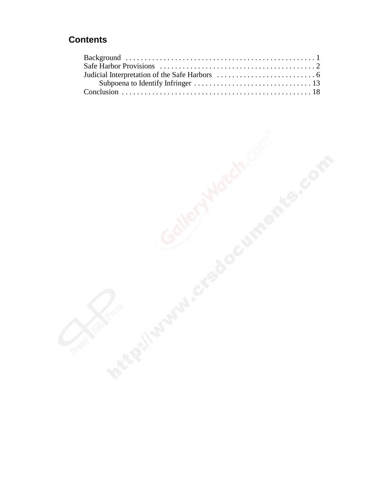# **Contents**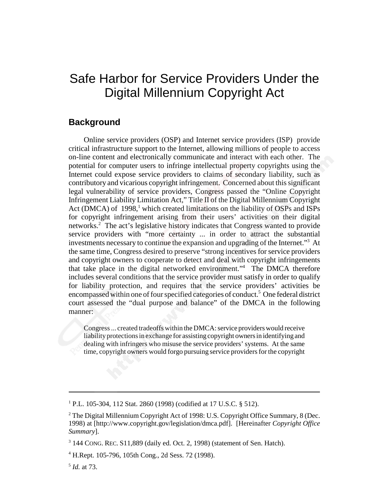# Safe Harbor for Service Providers Under the Digital Millennium Copyright Act

## **Background**

Online service providers (OSP) and Internet service providers (ISP) provide critical infrastructure support to the Internet, allowing millions of people to access on-line content and electronically communicate and interact with each other. The potential for computer users to infringe intellectual property copyrights using the Internet could expose service providers to claims of secondary liability, such as contributory and vicarious copyright infringement. Concerned about this significant legal vulnerability of service providers, Congress passed the "Online Copyright Infringement Liability Limitation Act," Title II of the Digital Millennium Copyright Act (DMCA) of 1998,<sup>1</sup> which created limitations on the liability of OSPs and ISPs for copyright infringement arising from their users' activities on their digital networks.<sup>2</sup> The act's legislative history indicates that Congress wanted to provide service providers with "more certainty ... in order to attract the substantial investments necessary to continue the expansion and upgrading of the Internet."<sup>3</sup> At the same time, Congress desired to preserve "strong incentives for service providers and copyright owners to cooperate to detect and deal with copyright infringements that take place in the digital networked environment."4 The DMCA therefore includes several conditions that the service provider must satisfy in order to qualify for liability protection, and requires that the service providers' activities be encompassed within one of four specified categories of conduct.<sup>5</sup> One federal district court assessed the "dual purpose and balance" of the DMCA in the following manner:

Congress ... created tradeoffs within the DMCA: service providers would receive liability protections in exchange for assisting copyright owners in identifying and dealing with infringers who misuse the service providers' systems. At the same time, copyright owners would forgo pursuing service providers for the copyright

<sup>1</sup> P.L. 105-304, 112 Stat. 2860 (1998) (codified at 17 U.S.C. § 512).

<sup>&</sup>lt;sup>2</sup> The Digital Millennium Copyright Act of 1998: U.S. Copyright Office Summary, 8 (Dec. 1998) at [http://www.copyright.gov/legislation/dmca.pdf]. [Hereinafter *Copyright Office Summary*].

 $3$  144 CONG. REC. S11,889 (daily ed. Oct. 2, 1998) (statement of Sen. Hatch).

<sup>4</sup> H.Rept. 105-796, 105th Cong., 2d Sess. 72 (1998).

<sup>5</sup> *Id.* at 73.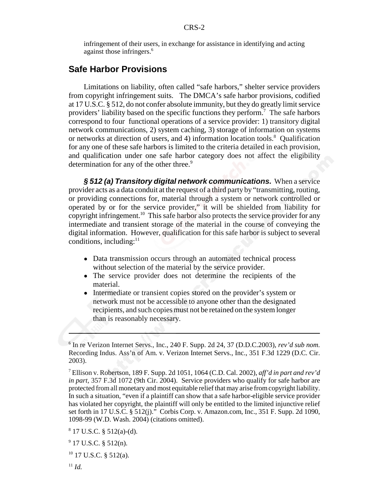infringement of their users, in exchange for assistance in identifying and acting against those infringers.<sup>6</sup>

## **Safe Harbor Provisions**

Limitations on liability, often called "safe harbors," shelter service providers from copyright infringement suits. The DMCA's safe harbor provisions, codified at 17 U.S.C. § 512, do not confer absolute immunity, but they do greatly limit service providers' liability based on the specific functions they perform.<sup>7</sup> The safe harbors correspond to four functional operations of a service provider: 1) transitory digital network communications, 2) system caching, 3) storage of information on systems or networks at direction of users, and 4) information location tools.<sup>8</sup> Qualification for any one of these safe harbors is limited to the criteria detailed in each provision, and qualification under one safe harbor category does not affect the eligibility determination for any of the other three.<sup>9</sup>

*§ 512 (a) Transitory digital network communications.* When a service provider acts as a data conduit at the request of a third party by "transmitting, routing, or providing connections for, material through a system or network controlled or operated by or for the service provider," it will be shielded from liability for copyright infringement.<sup>10</sup> This safe harbor also protects the service provider for any intermediate and transient storage of the material in the course of conveying the digital information. However, qualification for this safe harbor is subject to several conditions, including: $11$ 

- Data transmission occurs through an automated technical process without selection of the material by the service provider.
- The service provider does not determine the recipients of the material.
- Intermediate or transient copies stored on the provider's system or network must not be accessible to anyone other than the designated recipients, and such copies must not be retained on the system longer than is reasonably necessary.

<sup>6</sup> In re Verizon Internet Servs., Inc., 240 F. Supp. 2d 24, 37 (D.D.C.2003), *rev'd sub nom.* Recording Indus. Ass'n of Am. v. Verizon Internet Servs., Inc., 351 F.3d 1229 (D.C. Cir. 2003).

<sup>7</sup> Ellison v. Robertson, 189 F. Supp. 2d 1051, 1064 (C.D. Cal. 2002), *aff'd in part and rev'd in part,* 357 F.3d 1072 (9th Cir. 2004). Service providers who qualify for safe harbor are protected from all monetary and most equitable relief that may arise from copyright liability. In such a situation, "even if a plaintiff can show that a safe harbor-eligible service provider has violated her copyright, the plaintiff will only be entitled to the limited injunctive relief set forth in 17 U.S.C. § 512(j)." Corbis Corp. v. Amazon.com, Inc., 351 F. Supp. 2d 1090, 1098-99 (W.D. Wash. 2004) (citations omitted).

 $8$  17 U.S.C.  $\S$  512(a)-(d).

 $9$  17 U.S.C. § 512(n).

 $10$  17 U.S.C. § 512(a).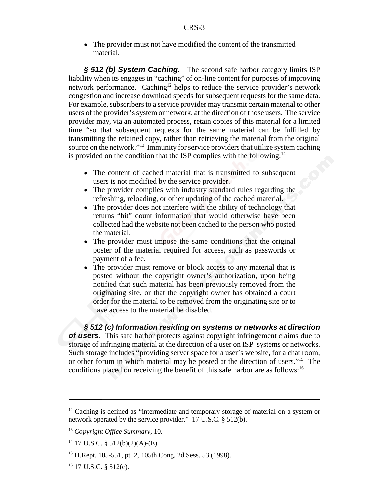• The provider must not have modified the content of the transmitted material.

*§ 512 (b) System Caching.* The second safe harbor category limits ISP liability when its engages in "caching" of on-line content for purposes of improving network performance. Caching<sup>12</sup> helps to reduce the service provider's network congestion and increase download speeds for subsequent requests for the same data. For example, subscribers to a service provider may transmit certain material to other users of the provider's system or network, at the direction of those users. The service provider may, via an automated process, retain copies of this material for a limited time "so that subsequent requests for the same material can be fulfilled by transmitting the retained copy, rather than retrieving the material from the original source on the network."13 Immunity for service providers that utilize system caching is provided on the condition that the ISP complies with the following: $14$ 

- The content of cached material that is transmitted to subsequent users is not modified by the service provider.
- The provider complies with industry standard rules regarding the refreshing, reloading, or other updating of the cached material.
- The provider does not interfere with the ability of technology that returns "hit" count information that would otherwise have been collected had the website not been cached to the person who posted the material.
- ! The provider must impose the same conditions that the original poster of the material required for access, such as passwords or payment of a fee.
- The provider must remove or block access to any material that is posted without the copyright owner's authorization, upon being notified that such material has been previously removed from the originating site, or that the copyright owner has obtained a court order for the material to be removed from the originating site or to have access to the material be disabled.

*§ 512 (c) Information residing on systems or networks at direction of users.* This safe harbor protects against copyright infringement claims due to storage of infringing material at the direction of a user on ISP systems or networks. Such storage includes "providing server space for a user's website, for a chat room, or other forum in which material may be posted at the direction of users."15 The conditions placed on receiving the benefit of this safe harbor are as follows:<sup>16</sup>

<sup>&</sup>lt;sup>12</sup> Caching is defined as "intermediate and temporary storage of material on a system or network operated by the service provider." 17 U.S.C. § 512(b).

<sup>13</sup> *Copyright Office Summary,* 10*.*

 $14$  17 U.S.C. § 512(b)(2)(A)-(E).

<sup>15</sup> H.Rept. 105-551, pt. 2, 105th Cong. 2d Sess. 53 (1998).

 $16$  17 U.S.C. § 512(c).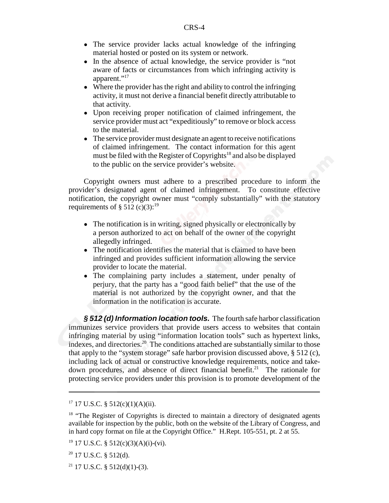- The service provider lacks actual knowledge of the infringing material hosted or posted on its system or network.
- In the absence of actual knowledge, the service provider is "not" aware of facts or circumstances from which infringing activity is apparent."<sup>17</sup>
- Where the provider has the right and ability to control the infringing activity, it must not derive a financial benefit directly attributable to that activity.
- Upon receiving proper notification of claimed infringement, the service provider must act "expeditiously" to remove or block access to the material.
- The service provider must designate an agent to receive notifications of claimed infringement. The contact information for this agent must be filed with the Register of Copyrights<sup>18</sup> and also be displayed to the public on the service provider's website.

Copyright owners must adhere to a prescribed procedure to inform the provider's designated agent of claimed infringement. To constitute effective notification, the copyright owner must "comply substantially" with the statutory requirements of  $\S 512$  (c)(3):<sup>19</sup>

- The notification is in writing, signed physically or electronically by a person authorized to act on behalf of the owner of the copyright allegedly infringed.
- The notification identifies the material that is claimed to have been infringed and provides sufficient information allowing the service provider to locate the material.
- The complaining party includes a statement, under penalty of perjury, that the party has a "good faith belief" that the use of the material is not authorized by the copyright owner, and that the information in the notification is accurate.

*§ 512 (d) Information location tools.* The fourth safe harbor classification immunizes service providers that provide users access to websites that contain infringing material by using "information location tools" such as hypertext links, indexes, and directories.20 The conditions attached are substantially similar to those that apply to the "system storage" safe harbor provision discussed above, § 512 (c), including lack of actual or constructive knowledge requirements, notice and takedown procedures, and absence of direct financial benefit.<sup>21</sup> The rationale for protecting service providers under this provision is to promote development of the

 $17$  17 U.S.C. § 512(c)(1)(A)(ii).

<sup>&</sup>lt;sup>18</sup> "The Register of Copyrights is directed to maintain a directory of designated agents available for inspection by the public, both on the website of the Library of Congress, and in hard copy format on file at the Copyright Office." H.Rept. 105-551, pt. 2 at 55.

<sup>&</sup>lt;sup>19</sup> 17 U.S.C. § 512(c)(3)(A)(i)-(vi).

<sup>20 17</sup> U.S.C. § 512(d).

 $21$  17 U.S.C. § 512(d)(1)-(3).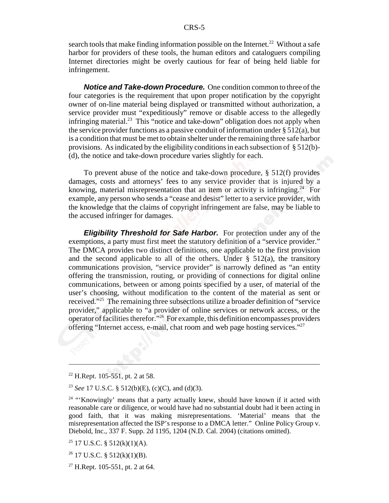search tools that make finding information possible on the Internet.<sup>22</sup> Without a safe harbor for providers of these tools, the human editors and cataloguers compiling Internet directories might be overly cautious for fear of being held liable for infringement.

*Notice and Take-down Procedure.* One condition common to three of the four categories is the requirement that upon proper notification by the copyright owner of on-line material being displayed or transmitted without authorization, a service provider must "expeditiously" remove or disable access to the allegedly infringing material.<sup>23</sup> This "notice and take-down" obligation does not apply when the service provider functions as a passive conduit of information under § 512(a), but is a condition that must be met to obtain shelter under the remaining three safe harbor provisions. As indicated by the eligibility conditions in each subsection of  $\S 512(b)$ -(d), the notice and take-down procedure varies slightly for each.

To prevent abuse of the notice and take-down procedure, § 512(f) provides damages, costs and attorneys' fees to any service provider that is injured by a knowing, material misrepresentation that an item or activity is infringing.<sup>24</sup> For example, any person who sends a "cease and desist" letter to a service provider, with the knowledge that the claims of copyright infringement are false, may be liable to the accused infringer for damages.

*Eligibility Threshold for Safe Harbor.* For protection under any of the exemptions, a party must first meet the statutory definition of a "service provider." The DMCA provides two distinct definitions, one applicable to the first provision and the second applicable to all of the others. Under  $\S$  512(a), the transitory communications provision, "service provider" is narrowly defined as "an entity offering the transmission, routing, or providing of connections for digital online communications, between or among points specified by a user, of material of the user's choosing, without modification to the content of the material as sent or received."25 The remaining three subsections utilize a broader definition of "service provider," applicable to "a provider of online services or network access, or the operator of facilities therefor."26 For example, this definition encompasses providers offering "Internet access, e-mail, chat room and web page hosting services."27

 $22$  H.Rept. 105-551, pt. 2 at 58.

<sup>23</sup> *See* 17 U.S.C. § 512(b)(E), (c)(C), and (d)(3).

<sup>&</sup>lt;sup>24</sup> "Knowingly' means that a party actually knew, should have known if it acted with reasonable care or diligence, or would have had no substantial doubt had it been acting in good faith, that it was making misrepresentations. 'Material' means that the misrepresentation affected the ISP's response to a DMCA letter." Online Policy Group v. Diebold, Inc., 337 F. Supp. 2d 1195, 1204 (N.D. Cal. 2004) (citations omitted).

 $25$  17 U.S.C. § 512(k)(1)(A).

 $26$  17 U.S.C. § 512(k)(1)(B).

 $27$  H.Rept. 105-551, pt. 2 at 64.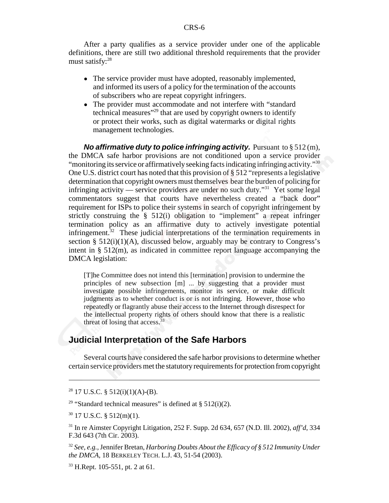After a party qualifies as a service provider under one of the applicable definitions, there are still two additional threshold requirements that the provider must satisfy:<sup>28</sup>

- The service provider must have adopted, reasonably implemented, and informed its users of a policy for the termination of the accounts of subscribers who are repeat copyright infringers.
- The provider must accommodate and not interfere with "standard" technical measures"29 that are used by copyright owners to identify or protect their works, such as digital watermarks or digital rights management technologies.

*No affirmative duty to police infringing activity.* Pursuant to § 512 (m), the DMCA safe harbor provisions are not conditioned upon a service provider "monitoring its service or affirmatively seeking facts indicating infringing activity."<sup>30</sup> One U.S. district court has noted that this provision of  $\S 512$  "represents a legislative determination that copyright owners must themselves bear the burden of policing for infringing activity — service providers are under no such duty.<sup>331</sup> Yet some legal commentators suggest that courts have nevertheless created a "back door" requirement for ISPs to police their systems in search of copyright infringement by strictly construing the  $\S$  512(i) obligation to "implement" a repeat infringer termination policy as an affirmative duty to actively investigate potential infringement.<sup>32</sup> These judicial interpretations of the termination requirements in section §  $512(i)(1)(A)$ , discussed below, arguably may be contrary to Congress's intent in  $\S$  512(m), as indicated in committee report language accompanying the DMCA legislation:

[T]he Committee does not intend this [termination] provision to undermine the principles of new subsection [m] ... by suggesting that a provider must investigate possible infringements, monitor its service, or make difficult judgments as to whether conduct is or is not infringing. However, those who repeatedly or flagrantly abuse their access to the Internet through disrespect for the intellectual property rights of others should know that there is a realistic threat of losing that  $access.^{33}$ 

# **Judicial Interpretation of the Safe Harbors**

Several courts have considered the safe harbor provisions to determine whether certain service providers met the statutory requirements for protection from copyright

<sup>29</sup> "Standard technical measures" is defined at § 512(i)(2).

 $30$  17 U.S.C. § 512(m)(1).

31 In re Aimster Copyright Litigation, 252 F. Supp. 2d 634, 657 (N.D. Ill. 2002), *aff'd*, 334 F.3d 643 (7th Cir. 2003).

<sup>32</sup> *See, e.g.,* Jennifer Bretan, *Harboring Doubts About the Efficacy of § 512 Immunity Under the DMCA*, 18 BERKELEY TECH. L.J. 43, 51-54 (2003).

 $28$  17 U.S.C. § 512(i)(1)(A)-(B).

<sup>33</sup> H.Rept. 105-551, pt. 2 at 61.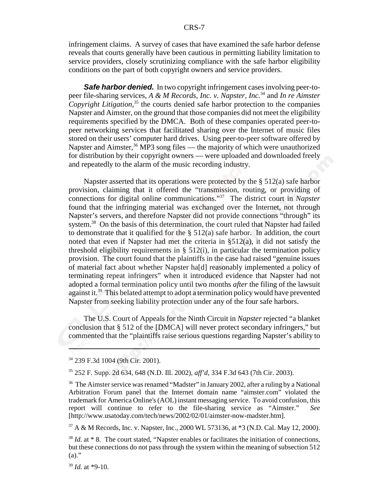infringement claims. A survey of cases that have examined the safe harbor defense reveals that courts generally have been cautious in permitting liability limitation to service providers, closely scrutinizing compliance with the safe harbor eligibility conditions on the part of both copyright owners and service providers.

*Safe harbor denied.* In two copyright infringement cases involving peer-topeer file-sharing services, *A & M Records, Inc. v. Napster, Inc.*34 and *In re Aimster Copyright Litigation*, 35 the courts denied safe harbor protection to the companies Napster and Aimster, on the ground that those companies did not meet the eligibility requirements specified by the DMCA. Both of these companies operated peer-topeer networking services that facilitated sharing over the Internet of music files stored on their users' computer hard drives. Using peer-to-peer software offered by Napster and Aimster,  $36$  MP3 song files — the majority of which were unauthorized for distribution by their copyright owners — were uploaded and downloaded freely and repeatedly to the alarm of the music recording industry.

Napster asserted that its operations were protected by the § 512(a) safe harbor provision, claiming that it offered the "transmission, routing, or providing of connections for digital online communications."37 The district court in *Napster* found that the infringing material was exchanged over the Internet, not through Napster's servers, and therefore Napster did not provide connections "through" its system.<sup>38</sup> On the basis of this determination, the court ruled that Napster had failed to demonstrate that it qualified for the  $\S$  512(a) safe harbor. In addition, the court noted that even if Napster had met the criteria in §512(a), it did not satisfy the threshold eligibility requirements in  $\S$  512(i), in particular the termination policy provision. The court found that the plaintiffs in the case had raised "genuine issues of material fact about whether Napster ha[d] reasonably implemented a policy of terminating repeat infringers" when it introduced evidence that Napster had not adopted a formal termination policy until two months *after* the filing of the lawsuit against it.<sup>39</sup> This belated attempt to adopt a termination policy would have prevented Napster from seeking liability protection under any of the four safe harbors.

The U.S. Court of Appeals for the Ninth Circuit in *Napster* rejected "a blanket conclusion that § 512 of the [DMCA] will never protect secondary infringers," but commented that the "plaintiffs raise serious questions regarding Napster's ability to

34 239 F.3d 1004 (9th Cir. 2001).

35 252 F. Supp. 2d 634, 648 (N.D. Ill. 2002), *aff'd,* 334 F.3d 643 (7th Cir. 2003).

37 A & M Records, Inc. v. Napster, Inc., 2000 WL 573136, at \*3 (N.D. Cal. May 12, 2000).

 $39$  *Id.* at \*9-10.

<sup>&</sup>lt;sup>36</sup> The Aimster service was renamed "Madster" in January 2002, after a ruling by a National Arbitration Forum panel that the Internet domain name "aimster.com" violated the trademark for America Online's (AOL) instant messaging service. To avoid confusion, this report will continue to refer to the file-sharing service as "Aimster." *See* [http://www.usatoday.com/tech/news/2002/02/01/aimster-now-madster.htm].

<sup>&</sup>lt;sup>38</sup> *Id.* at \* 8. The court stated, "Napster enables or facilitates the initiation of connections, but these connections do not pass through the system within the meaning of subsection 512  $(a)$ ."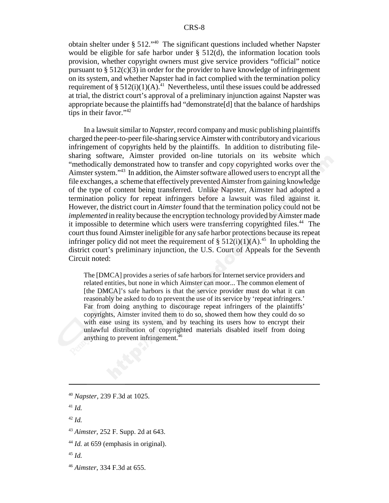obtain shelter under § 512."40 The significant questions included whether Napster would be eligible for safe harbor under  $\S$  512(d), the information location tools provision, whether copyright owners must give service providers "official" notice pursuant to  $\S 512(c)(3)$  in order for the provider to have knowledge of infringement on its system, and whether Napster had in fact complied with the termination policy requirement of § 512(i)(1)(A).<sup>41</sup> Nevertheless, until these issues could be addressed at trial, the district court's approval of a preliminary injunction against Napster was appropriate because the plaintiffs had "demonstrate[d] that the balance of hardships tips in their favor." $42$ 

In a lawsuit similar to *Napster*, record company and music publishing plaintiffs charged the peer-to-peer file-sharing service Aimster with contributory and vicarious infringement of copyrights held by the plaintiffs. In addition to distributing filesharing software, Aimster provided on-line tutorials on its website which "methodically demonstrated how to transfer and copy copyrighted works over the Aimster system."43 In addition, the Aimster software allowed users to encrypt all the file exchanges, a scheme that effectively prevented Aimster from gaining knowledge of the type of content being transferred. Unlike Napster, Aimster had adopted a termination policy for repeat infringers before a lawsuit was filed against it. However, the district court in *Aimster* found that the termination policy could not be *implemented* in reality because the encryption technology provided by Aimster made it impossible to determine which users were transferring copyrighted files.<sup>44</sup> The court thus found Aimster ineligible for any safe harbor protections because its repeat infringer policy did not meet the requirement of §  $512(i)(1)(A)$ .<sup>45</sup> In upholding the district court's preliminary injunction, the U.S. Court of Appeals for the Seventh Circuit noted:

The [DMCA] provides a series of safe harbors for Internet service providers and related entities, but none in which Aimster can moor... The common element of [the DMCA]'s safe harbors is that the service provider must do what it can reasonably be asked to do to prevent the use of its service by 'repeat infringers.' Far from doing anything to discourage repeat infringers of the plaintiffs' copyrights, Aimster invited them to do so, showed them how they could do so with ease using its system, and by teaching its users how to encrypt their unlawful distribution of copyrighted materials disabled itself from doing anything to prevent infringement.<sup>46</sup>

<sup>40</sup> *Napster*, 239 F.3d at 1025.

<sup>41</sup> *Id.*

<sup>42</sup> *Id.*

<sup>43</sup> *Aimster,* 252 F. Supp. 2d at 643.

<sup>&</sup>lt;sup>44</sup> *Id.* at 659 (emphasis in original).

<sup>45</sup> *Id.*

<sup>46</sup> *Aimster*, 334 F.3d at 655.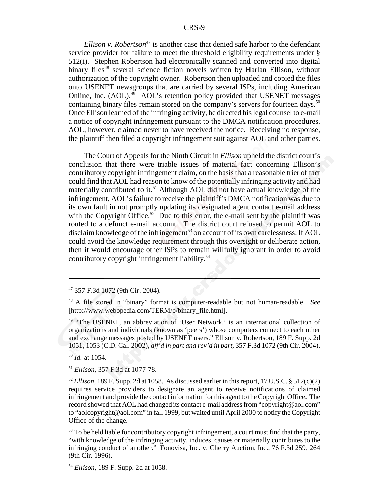*Ellison v. Robertson*<sup>47</sup> is another case that denied safe harbor to the defendant service provider for failure to meet the threshold eligibility requirements under § 512(i). Stephen Robertson had electronically scanned and converted into digital binary files<sup>48</sup> several science fiction novels written by Harlan Ellison, without authorization of the copyright owner. Robertson then uploaded and copied the files onto USENET newsgroups that are carried by several ISPs, including American Online, Inc.  $(AOL)^{49}$  AOL's retention policy provided that USENET messages containing binary files remain stored on the company's servers for fourteen days.<sup>50</sup> Once Ellison learned of the infringing activity, he directed his legal counsel to e-mail a notice of copyright infringement pursuant to the DMCA notification procedures. AOL, however, claimed never to have received the notice. Receiving no response, the plaintiff then filed a copyright infringement suit against AOL and other parties.

The Court of Appeals for the Ninth Circuit in *Ellison* upheld the district court's conclusion that there were triable issues of material fact concerning Ellison's contributory copyright infringement claim, on the basis that a reasonable trier of fact could find that AOL had reason to know of the potentially infringing activity and had materially contributed to it.<sup>51</sup> Although AOL did not have actual knowledge of the infringement, AOL's failure to receive the plaintiff's DMCA notification was due to its own fault in not promptly updating its designated agent contact e-mail address with the Copyright Office.<sup>52</sup> Due to this error, the e-mail sent by the plaintiff was routed to a defunct e-mail account. The district court refused to permit AOL to disclaim knowledge of the infringement<sup>53</sup> on account of its own carelessness: If AOL could avoid the knowledge requirement through this oversight or deliberate action, then it would encourage other ISPs to remain willfully ignorant in order to avoid contributory copyright infringement liability.54

<sup>50</sup> *Id.* at 1054.

<sup>51</sup> *Ellison,* 357 F.3d at 1077-78.

<sup>47 357</sup> F.3d 1072 (9th Cir. 2004).

<sup>48</sup> A file stored in "binary" format is computer-readable but not human-readable. *See* [http://www.webopedia.com/TERM/b/binary\_file.html].

<sup>&</sup>lt;sup>49</sup> "The USENET, an abbreviation of 'User Network,' is an international collection of organizations and individuals (known as 'peers') whose computers connect to each other and exchange messages posted by USENET users." Ellison v. Robertson*,* 189 F. Supp. 2d 1051, 1053 (C.D. Cal. 2002), *aff'd in part and rev'd in part,* 357 F.3d 1072 (9th Cir. 2004).

<sup>&</sup>lt;sup>52</sup> *Ellison*, 189 F. Supp. 2d at 1058. As discussed earlier in this report, 17 U.S.C. § 512(c)(2) requires service providers to designate an agent to receive notifications of claimed infringement and provide the contact information for this agent to the Copyright Office. The record showed that AOL had changed its contact e-mail address from "copyright@aol.com" to "aolcopyright@aol.com" in fall 1999, but waited until April 2000 to notify the Copyright Office of the change.

 $<sup>53</sup>$  To be held liable for contributory copyright infringement, a court must find that the party,</sup> "with knowledge of the infringing activity, induces, causes or materially contributes to the infringing conduct of another." Fonovisa, Inc. v. Cherry Auction, Inc., 76 F.3d 259, 264 (9th Cir. 1996).

<sup>54</sup> *Ellison,* 189 F. Supp. 2d at 1058.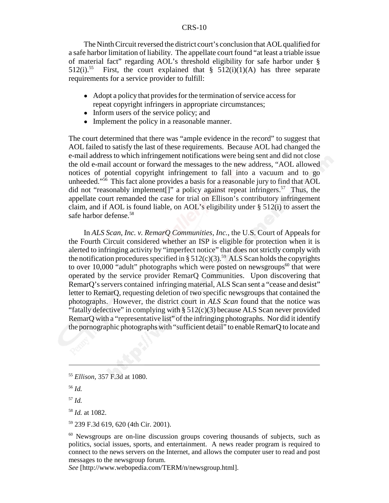The Ninth Circuit reversed the district court's conclusion that AOL qualified for a safe harbor limitation of liability. The appellate court found "at least a triable issue of material fact" regarding AOL's threshold eligibility for safe harbor under § 512(i).<sup>55</sup> First, the court explained that § 512(i)(1)(A) has three separate requirements for a service provider to fulfill:

- ! Adopt a policy that provides for the termination of service access for repeat copyright infringers in appropriate circumstances;
- Inform users of the service policy; and
- Implement the policy in a reasonable manner.

The court determined that there was "ample evidence in the record" to suggest that AOL failed to satisfy the last of these requirements. Because AOL had changed the e-mail address to which infringement notifications were being sent and did not close the old e-mail account or forward the messages to the new address, "AOL allowed notices of potential copyright infringement to fall into a vacuum and to go unheeded."<sup>56</sup> This fact alone provides a basis for a reasonable jury to find that AOL did not "reasonably implement<sup>[]"</sup> a policy against repeat infringers.<sup>57</sup> Thus, the appellate court remanded the case for trial on Ellison's contributory infringement claim, and if AOL is found liable, on AOL's eligibility under § 512(i) to assert the safe harbor defense.<sup>58</sup>

In *ALS Scan, Inc. v. RemarQ Communities, Inc.*, the U.S. Court of Appeals for the Fourth Circuit considered whether an ISP is eligible for protection when it is alerted to infringing activity by "imperfect notice" that does not strictly comply with the notification procedures specified in §  $512(c)(3)$ .<sup>59</sup> ALS Scan holds the copyrights to over 10,000 "adult" photographs which were posted on newsgroups<sup>60</sup> that were operated by the service provider RemarQ Communities. Upon discovering that RemarQ's servers contained infringing material, ALS Scan sent a "cease and desist" letter to RemarQ, requesting deletion of two specific newsgroups that contained the photographs. However, the district court in *ALS Scan* found that the notice was "fatally defective" in complying with  $\S 512(c)(3)$  because ALS Scan never provided RemarQ with a "representative list" of the infringing photographs. Nor did it identify the pornographic photographs with "sufficient detail" to enable RemarQ to locate and

*See* [http://www.webopedia.com/TERM/n/newsgroup.html].

<sup>55</sup> *Ellison,* 357 F.3d at 1080.

<sup>56</sup> *Id.*

<sup>57</sup> *Id.*

<sup>58</sup> *Id.* at 1082.

<sup>59 239</sup> F.3d 619, 620 (4th Cir. 2001).

<sup>&</sup>lt;sup>60</sup> Newsgroups are on-line discussion groups covering thousands of subjects, such as politics, social issues, sports, and entertainment. A news reader program is required to connect to the news servers on the Internet, and allows the computer user to read and post messages to the newsgroup forum.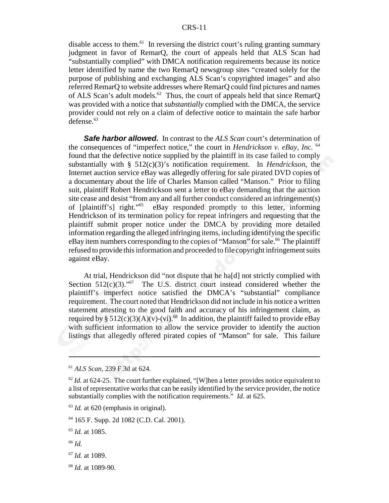disable access to them.<sup>61</sup> In reversing the district court's ruling granting summary judgment in favor of RemarQ, the court of appeals held that ALS Scan had "substantially complied" with DMCA notification requirements because its notice letter identified by name the two RemarQ newsgroup sites "created solely for the purpose of publishing and exchanging ALS Scan's copyrighted images" and also referred RemarQ to website addresses where RemarQ could find pictures and names of ALS Scan's adult models.<sup>62</sup> Thus, the court of appeals held that since RemarQ was provided with a notice that *substantially* complied with the DMCA, the service provider could not rely on a claim of defective notice to maintain the safe harbor  $defense.<sup>63</sup>$ 

*Safe harbor allowed.* In contrast to the *ALS Scan* court's determination of the consequences of "imperfect notice," the court in *Hendrickson v. eBay, Inc.* <sup>64</sup> found that the defective notice supplied by the plaintiff in its case failed to comply substantially with § 512(c)(3)'s notification requirement. In *Hendrickson*, the Internet auction service eBay was allegedly offering for sale pirated DVD copies of a documentary about the life of Charles Manson called "Manson." Prior to filing suit, plaintiff Robert Hendrickson sent a letter to eBay demanding that the auction site cease and desist "from any and all further conduct considered an infringement(s) of [plaintiff's] right."65 eBay responded promptly to this letter, informing Hendrickson of its termination policy for repeat infringers and requesting that the plaintiff submit proper notice under the DMCA by providing more detailed information regarding the alleged infringing items, including identifying the specific eBay item numbers corresponding to the copies of "Manson" for sale.<sup>66</sup> The plaintiff refused to provide this information and proceeded to file copyright infringement suits against eBay.

At trial, Hendrickson did "not dispute that he ha[d] not strictly complied with Section  $512(c)(3)$ ."<sup>67</sup> The U.S. district court instead considered whether the plaintiff's imperfect notice satisfied the DMCA's "substantial" compliance requirement. The court noted that Hendrickson did not include in his notice a written statement attesting to the good faith and accuracy of his infringement claim, as required by §  $512(c)(3)(A)(v)-(vi).^{68}$  In addition, the plaintiff failed to provide eBay with sufficient information to allow the service provider to identify the auction listings that allegedly offered pirated copies of "Manson" for sale. This failure

<sup>65</sup> *Id.* at 1085.

<sup>66</sup> *Id.*

- <sup>67</sup> *Id.* at 1089.
- <sup>68</sup> *Id.* at 1089-90.

<sup>61</sup> *ALS Scan,* 239 F.3d at 624.

 $62$  *Id.* at 624-25. The court further explained, "[W]hen a letter provides notice equivalent to a list of representative works that can be easily identified by the service provider, the notice substantially complies with the notification requirements." *Id.* at 625.

<sup>63</sup> *Id.* at 620 (emphasis in original).

<sup>64 165</sup> F. Supp. 2d 1082 (C.D. Cal. 2001).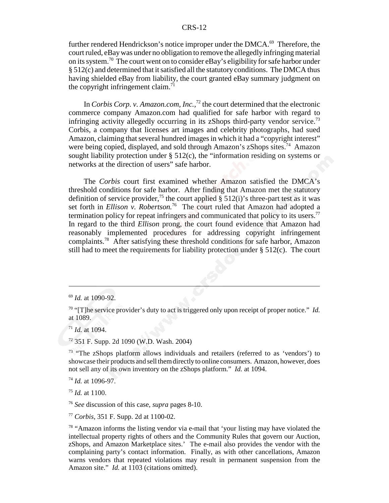further rendered Hendrickson's notice improper under the DMCA. $^{69}$  Therefore, the court ruled, eBay was under no obligation to remove the allegedly infringing material on its system.70 The court went on to consider eBay's eligibility for safe harbor under § 512(c) and determined that it satisfied all the statutory conditions. The DMCA thus having shielded eBay from liability, the court granted eBay summary judgment on the copyright infringement claim.<sup>71</sup>

In *Corbis Corp. v. Amazon.com, Inc.*,<sup>72</sup> the court determined that the electronic commerce company Amazon.com had qualified for safe harbor with regard to infringing activity allegedly occurring in its zShops third-party vendor service.<sup>73</sup> Corbis, a company that licenses art images and celebrity photographs, had sued Amazon, claiming that several hundred images in which it had a "copyright interest" were being copied, displayed, and sold through Amazon's zShops sites.<sup>74</sup> Amazon sought liability protection under § 512(c), the "information residing on systems or networks at the direction of users" safe harbor.

The *Corbis* court first examined whether Amazon satisfied the DMCA's threshold conditions for safe harbor. After finding that Amazon met the statutory definition of service provider,<sup>75</sup> the court applied  $\S$  512(i)'s three-part test as it was set forth in *Ellison v. Robertson*.<sup>76</sup> The court ruled that Amazon had adopted a termination policy for repeat infringers and communicated that policy to its users.<sup>77</sup> In regard to the third *Ellison* prong, the court found evidence that Amazon had reasonably implemented procedures for addressing copyright infringement complaints.78 After satisfying these threshold conditions for safe harbor, Amazon still had to meet the requirements for liability protection under  $\S$  512(c). The court

<sup>71</sup> *Id.* at 1094.

<sup>74</sup> *Id.* at 1096-97.

<sup>75</sup> *Id.* at 1100.

<sup>69</sup> *Id.* at 1090-92.

<sup>70 &</sup>quot;[T]he service provider's duty to act is triggered only upon receipt of proper notice." *Id.* at 1089.

<sup>72 351</sup> F. Supp. 2d 1090 (W.D. Wash. 2004)

<sup>&</sup>lt;sup>73</sup> "The zShops platform allows individuals and retailers (referred to as 'vendors') to showcase their products and sell them directly to online consumers. Amazon, however, does not sell any of its own inventory on the zShops platform." *Id.* at 1094.

<sup>76</sup> *See* discussion of this case, *supra* pages 8-10.

<sup>77</sup> *Corbis,* 351 F. Supp. 2d at 1100-02.

<sup>&</sup>lt;sup>78</sup> "Amazon informs the listing vendor via e-mail that 'your listing may have violated the intellectual property rights of others and the Community Rules that govern our Auction, zShops, and Amazon Marketplace sites.' The e-mail also provides the vendor with the complaining party's contact information. Finally, as with other cancellations, Amazon warns vendors that repeated violations may result in permanent suspension from the Amazon site." *Id.* at 1103 (citations omitted).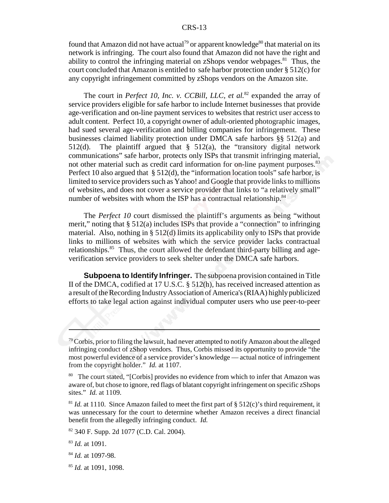found that Amazon did not have actual<sup>79</sup> or apparent knowledge<sup>80</sup> that material on its network is infringing. The court also found that Amazon did not have the right and ability to control the infringing material on zShops vendor webpages.<sup>81</sup> Thus, the court concluded that Amazon is entitled to safe harbor protection under § 512(c) for any copyright infringement committed by zShops vendors on the Amazon site.

The court in *Perfect 10, Inc. v. CCBill, LLC, et al.*82 expanded the array of service providers eligible for safe harbor to include Internet businesses that provide age-verification and on-line payment services to websites that restrict user access to adult content. Perfect 10, a copyright owner of adult-oriented photographic images, had sued several age-verification and billing companies for infringement. These businesses claimed liability protection under DMCA safe harbors §§ 512(a) and 512(d). The plaintiff argued that  $\S$  512(a), the "transitory digital network communications" safe harbor, protects only ISPs that transmit infringing material, not other material such as credit card information for on-line payment purposes.<sup>83</sup> Perfect 10 also argued that § 512(d), the "information location tools" safe harbor, is limited to service providers such as Yahoo! and Google that provide links to millions of websites, and does not cover a service provider that links to "a relatively small" number of websites with whom the ISP has a contractual relationship. $84$ 

The *Perfect 10* court dismissed the plaintiff's arguments as being "without merit," noting that  $\S 512(a)$  includes ISPs that provide a "connection" to infringing material. Also, nothing in § 512(d) limits its applicability only to ISPs that provide links to millions of websites with which the service provider lacks contractual relationships.<sup>85</sup> Thus, the court allowed the defendant third-party billing and ageverification service providers to seek shelter under the DMCA safe harbors.

**Subpoena to Identify Infringer.** The subpoena provision contained in Title II of the DMCA, codified at 17 U.S.C. § 512(h), has received increased attention as a result of the Recording Industry Association of America's (RIAA) highly publicized efforts to take legal action against individual computer users who use peer-to-peer

<sup>85</sup> *Id.* at 1091, 1098.

 $79$  Corbis, prior to filing the lawsuit, had never attempted to notify Amazon about the alleged infringing conduct of zShop vendors. Thus, Corbis missed its opportunity to provide "the most powerful evidence of a service provider's knowledge — actual notice of infringement from the copyright holder." *Id.* at 1107.

<sup>&</sup>lt;sup>80</sup> The court stated, "[Corbis] provides no evidence from which to infer that Amazon was aware of, but chose to ignore, red flags of blatant copyright infringement on specific zShops sites." *Id.* at 1109.

 $81$  *Id.* at 1110. Since Amazon failed to meet the first part of § 512(c)'s third requirement, it was unnecessary for the court to determine whether Amazon receives a direct financial benefit from the allegedly infringing conduct. *Id.*

<sup>82 340</sup> F. Supp. 2d 1077 (C.D. Cal. 2004).

<sup>83</sup> *Id.* at 1091.

<sup>84</sup> *Id.* at 1097-98.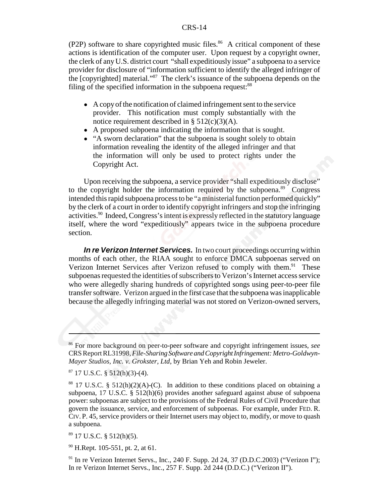(P2P) software to share copyrighted music files. $86$  A critical component of these actions is identification of the computer user. Upon request by a copyright owner, the clerk of any U.S. district court "shall expeditiously issue" a subpoena to a service provider for disclosure of "information sufficient to identify the alleged infringer of the [copyrighted] material."87 The clerk's issuance of the subpoena depends on the filing of the specified information in the subpoena request: $88$ 

- ! A copy of the notification of claimed infringement sent to the service provider. This notification must comply substantially with the notice requirement described in  $\S$  512(c)(3)(A).
- ! A proposed subpoena indicating the information that is sought.
- "A sworn declaration" that the subpoena is sought solely to obtain information revealing the identity of the alleged infringer and that the information will only be used to protect rights under the Copyright Act.

Upon receiving the subpoena, a service provider "shall expeditiously disclose" to the copyright holder the information required by the subpoena.<sup>89</sup> Congress intended this rapid subpoena process to be "a ministerial function performed quickly" by the clerk of a court in order to identify copyright infringers and stop the infringing activities.<sup>90</sup> Indeed, Congress's intent is expressly reflected in the statutory language itself, where the word "expeditiously" appears twice in the subpoena procedure section.

*In re Verizon Internet Services.* In two court proceedings occurring within months of each other, the RIAA sought to enforce DMCA subpoenas served on Verizon Internet Services after Verizon refused to comply with them.<sup>91</sup> These subpoenas requested the identities of subscribers to Verizon's Internet access service who were allegedly sharing hundreds of copyrighted songs using peer-to-peer file transfer software. Verizon argued in the first case that the subpoena was inapplicable because the allegedly infringing material was not stored on Verizon-owned servers,

<sup>86</sup> For more background on peer-to-peer software and copyright infringement issues, *see* CRS Report RL31998, *File-Sharing Software and Copyright Infringement: Metro-Goldwyn-Mayer Studios, Inc. v. Grokster, Ltd*, by Brian Yeh and Robin Jeweler.

 $87$  17 U.S.C. § 512(h)(3)-(4).

<sup>&</sup>lt;sup>88</sup> 17 U.S.C. § 512(h)(2)(A)-(C). In addition to these conditions placed on obtaining a subpoena, 17 U.S.C. § 512(h)(6) provides another safeguard against abuse of subpoena power: subpoenas are subject to the provisions of the Federal Rules of Civil Procedure that govern the issuance, service, and enforcement of subpoenas. For example, under FED. R. CIV. P. 45, service providers or their Internet users may object to, modify, or move to quash a subpoena.

 $89$  17 U.S.C. § 512(h)(5).

<sup>90</sup> H.Rept. 105-551, pt. 2, at 61.

<sup>&</sup>lt;sup>91</sup> In re Verizon Internet Servs., Inc., 240 F. Supp. 2d 24, 37 (D.D.C.2003) ("Verizon I"); In re Verizon Internet Servs., Inc., 257 F. Supp. 2d 244 (D.D.C.) ("Verizon II").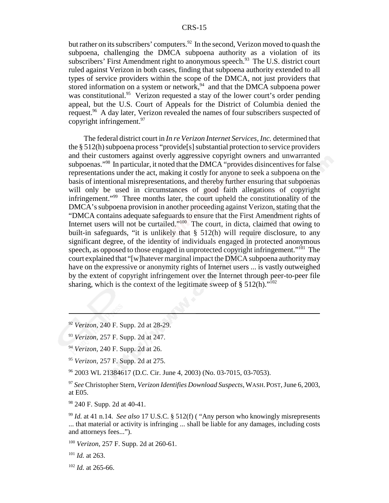but rather on its subscribers' computers.<sup>92</sup> In the second, Verizon moved to quash the subpoena, challenging the DMCA subpoena authority as a violation of its subscribers' First Amendment right to anonymous speech.<sup>93</sup> The U.S. district court ruled against Verizon in both cases, finding that subpoena authority extended to all types of service providers within the scope of the DMCA, not just providers that stored information on a system or network,  $94$  and that the DMCA subpoena power was constitutional.<sup>95</sup> Verizon requested a stay of the lower court's order pending appeal, but the U.S. Court of Appeals for the District of Columbia denied the request.<sup>96</sup> A day later, Verizon revealed the names of four subscribers suspected of copyright infringement.<sup>97</sup>

The federal district court in *In re Verizon Internet Services, Inc.* determined that the § 512(h) subpoena process "provide[s] substantial protection to service providers and their customers against overly aggressive copyright owners and unwarranted subpoenas."98 In particular, it noted that the DMCA "provides disincentives for false representations under the act, making it costly for anyone to seek a subpoena on the basis of intentional misrepresentations, and thereby further ensuring that subpoenas will only be used in circumstances of good faith allegations of copyright infringement."99 Three months later, the court upheld the constitutionality of the DMCA's subpoena provision in another proceeding against Verizon, stating that the "DMCA contains adequate safeguards to ensure that the First Amendment rights of Internet users will not be curtailed."<sup>100</sup> The court, in dicta, claimed that owing to built-in safeguards, "it is unlikely that § 512(h) will require disclosure, to any significant degree, of the identity of individuals engaged in protected anonymous speech, as opposed to those engaged in unprotected copyright infringement."<sup>101</sup> The court explained that "[w]hatever marginal impact the DMCA subpoena authority may have on the expressive or anonymity rights of Internet users ... is vastly outweighed by the extent of copyright infringement over the Internet through peer-to-peer file sharing, which is the context of the legitimate sweep of  $\S 512(h)$ ."<sup>102</sup>

96 2003 WL 21384617 (D.C. Cir. June 4, 2003) (No. 03-7015, 03-7053).

<sup>97</sup> *See* Christopher Stern, *Verizon Identifies Download Suspects*, WASH.POST, June 6, 2003, at E05.

<sup>99</sup> *Id.* at 41 n.14. *See also* 17 U.S.C. § 512(f) ( "Any person who knowingly misrepresents ... that material or activity is infringing ... shall be liable for any damages, including costs and attorneys fees...").

<sup>92</sup> *Verizon,* 240 F. Supp. 2d at 28-29.

<sup>93</sup> *Verizon,* 257 F. Supp. 2d at 247.

<sup>94</sup> *Verizon,* 240 F. Supp. 2d at 26.

<sup>95</sup> *Verizon,* 257 F. Supp. 2d at 275.

<sup>98 240</sup> F. Supp. 2d at 40-41.

<sup>100</sup> *Verizon,* 257 F. Supp. 2d at 260-61.

<sup>101</sup> *Id.* at 263.

<sup>102</sup> *Id.* at 265-66.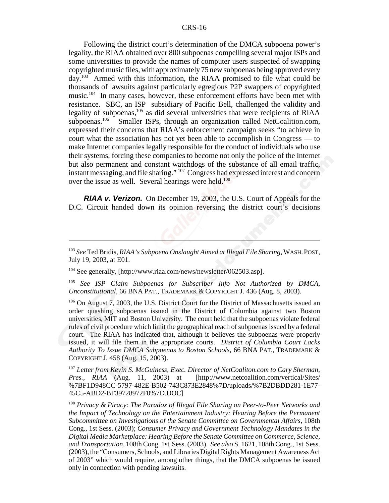Following the district court's determination of the DMCA subpoena power's legality, the RIAA obtained over 800 subpoenas compelling several major ISPs and some universities to provide the names of computer users suspected of swapping copyrighted music files, with approximately 75 new subpoenas being approved every day.103 Armed with this information, the RIAA promised to file what could be thousands of lawsuits against particularly egregious P2P swappers of copyrighted music.<sup>104</sup> In many cases, however, these enforcement efforts have been met with resistance. SBC, an ISP subsidiary of Pacific Bell, challenged the validity and legality of subpoenas, $105$  as did several universities that were recipients of RIAA subpoenas. $106$  Smaller ISPs, through an organization called NetCoalition.com, Smaller ISPs, through an organization called NetCoalition.com, expressed their concerns that RIAA's enforcement campaign seeks "to achieve in court what the association has not yet been able to accomplish in Congress — to make Internet companies legally responsible for the conduct of individuals who use their systems, forcing these companies to become not only the police of the Internet but also permanent and constant watchdogs of the substance of all email traffic, instant messaging, and file sharing." 107 Congress had expressed interest and concern over the issue as well. Several hearings were held.<sup>108</sup>

*RIAA v. Verizon.* On December 19, 2003, the U.S. Court of Appeals for the D.C. Circuit handed down its opinion reversing the district court's decisions

104 See generally, [http://www.riaa.com/news/newsletter/062503.asp].

<sup>105</sup> *See ISP Claim Subpoenas for Subscriber Info Not Authorized by DMCA, Unconstitutional,* 66 BNA PAT., TRADEMARK & COPYRIGHT J. 436 (Aug. 8, 2003).

<sup>106</sup> On August 7, 2003, the U.S. District Court for the District of Massachusetts issued an order quashing subpoenas issued in the District of Columbia against two Boston universities, MIT and Boston University. The court held that the subpoenas violate federal rules of civil procedure which limit the geographical reach of subpoenas issued by a federal court. The RIAA has indicated that, although it believes the subpoenas were properly issued, it will file them in the appropriate courts. *District of Columbia Court Lacks Authority To Issue DMCA Subpoenas to Boston Schools*, 66 BNA PAT., TRADEMARK & COPYRIGHT J. 458 (Aug. 15, 2003).

<sup>107</sup> *Letter from Kevin S. McGuiness, Exec. Director of NetCoaliton.com to Cary Sherman, Pres., RIAA* (Aug. 11, 2003) at [http://www.netcoalition.com/vertical/Sites/ %7BF1D948CC-5797-482E-B502-743C873E2848%7D/uploads/%7B2DBDD281-1E77- 45C5-ABD2-BF39728972F0%7D.DOC]

<sup>108</sup> *Privacy & Piracy: The Paradox of Illegal File Sharing on Peer-to-Peer Networks and the Impact of Technology on the Entertainment Industry: Hearing Before the Permanent Subcommittee on Investigations of the Senate Committee on Governmental Affairs*, 108th Cong., 1st Sess. (2003); *Consumer Privacy and Government Technology Mandates in the Digital Media Marketplace: Hearing Before the Senate Committee on Commerce, Science, and Transportation,* 108th Cong. 1st Sess. (2003). *See also* S. 1621, 108th Cong., 1st Sess. (2003), the "Consumers, Schools, and Libraries Digital Rights Management Awareness Act of 2003" which would require, among other things, that the DMCA subpoenas be issued only in connection with pending lawsuits.

<sup>103</sup> *See* Ted Bridis, *RIAA's Subpoena Onslaught Aimed at Illegal File Sharing*, WASH.POST, July 19, 2003, at E01.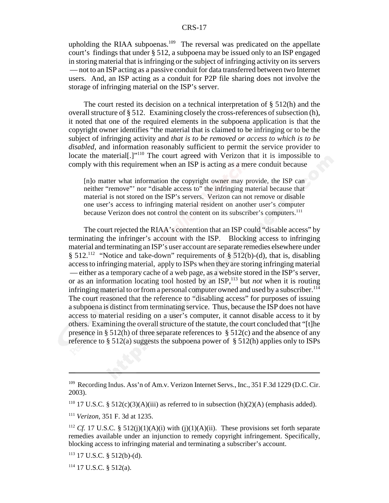upholding the RIAA subpoenas.<sup>109</sup> The reversal was predicated on the appellate court's findings that under § 512, a subpoena may be issued only to an ISP engaged in storing material that is infringing or the subject of infringing activity on its servers — not to an ISP acting as a passive conduit for data transferred between two Internet users. And, an ISP acting as a conduit for P2P file sharing does not involve the storage of infringing material on the ISP's server.

The court rested its decision on a technical interpretation of § 512(h) and the overall structure of § 512. Examining closely the cross-references of subsection (h), it noted that one of the required elements in the subpoena application is that the copyright owner identifies "the material that is claimed to be infringing or to be the subject of infringing activity and *that is to be removed or access to which is to be disabled,* and information reasonably sufficient to permit the service provider to locate the material<sup>[1]</sup>.<sup>110</sup> The court agreed with Verizon that it is impossible to comply with this requirement when an ISP is acting as a mere conduit because

[n]o matter what information the copyright owner may provide, the ISP can neither "remove"' nor "disable access to" the infringing material because that material is not stored on the ISP's servers. Verizon can not remove or disable one user's access to infringing material resident on another user's computer because Verizon does not control the content on its subscriber's computers.<sup>111</sup>

The court rejected the RIAA's contention that an ISP could "disable access" by terminating the infringer's account with the ISP. Blocking access to infringing material and terminating an ISP's user account are separate remedies elsewhere under § 512.<sup>112</sup> "Notice and take-down" requirements of § 512(b)-(d), that is, disabling access to infringing material, apply to ISPs when they are storing infringing material — either as a temporary cache of a web page, as a website stored in the ISP's server, or as an information locating tool hosted by an ISP,<sup>113</sup> but *not* when it is routing infringing material to or from a personal computer owned and used by a subscriber.<sup>114</sup> The court reasoned that the reference to "disabling access" for purposes of issuing a subpoena is distinct from terminating service. Thus, because the ISP does not have access to material residing on a user's computer, it cannot disable access to it by others. Examining the overall structure of the statute, the court concluded that "[t]he presence in § 512(h) of three separate references to § 512(c) and the absence of any reference to  $\S 512(a)$  suggests the subpoena power of  $\S 512(h)$  applies only to ISPs

<sup>&</sup>lt;sup>109</sup> Recording Indus. Ass'n of Am.v. Verizon Internet Servs., Inc., 351 F.3d 1229 (D.C. Cir. 2003).

<sup>&</sup>lt;sup>110</sup> 17 U.S.C. § 512(c)(3)(A)(iii) as referred to in subsection (h)(2)(A) (emphasis added).

<sup>111</sup> *Verizon,* 351 F. 3d at 1235.

<sup>&</sup>lt;sup>112</sup> *Cf.* 17 U.S.C. § 512(j)(1)(A)(i) with (j)(1)(A)(ii). These provisions set forth separate remedies available under an injunction to remedy copyright infringement. Specifically, blocking access to infringing material and terminating a subscriber's account.

 $113$  17 U.S.C. § 512(b)-(d).

 $114$  17 U.S.C. § 512(a).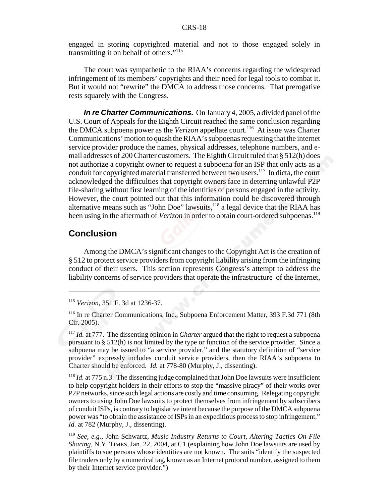engaged in storing copyrighted material and not to those engaged solely in transmitting it on behalf of others."<sup>115</sup>

The court was sympathetic to the RIAA's concerns regarding the widespread infringement of its members' copyrights and their need for legal tools to combat it. But it would not "rewrite" the DMCA to address those concerns. That prerogative rests squarely with the Congress.

*In re Charter Communications.* On January 4, 2005, a divided panel of the U.S. Court of Appeals for the Eighth Circuit reached the same conclusion regarding the DMCA subpoena power as the *Verizon* appellate court.<sup>116</sup> At issue was Charter Communications' motion to quash the RIAA's subpoenas requesting that the internet service provider produce the names, physical addresses, telephone numbers, and email addresses of 200 Charter customers. The Eighth Circuit ruled that § 512(h) does not authorize a copyright owner to request a subpoena for an ISP that only acts as a conduit for copyrighted material transferred between two users.<sup>117</sup> In dicta, the court acknowledged the difficulties that copyright owners face in deterring unlawful P2P file-sharing without first learning of the identities of persons engaged in the activity. However, the court pointed out that this information could be discovered through alternative means such as "John Doe" lawsuits, $118$  a legal device that the RIAA has been using in the aftermath of *Verizon* in order to obtain court-ordered subpoenas.<sup>119</sup>

### **Conclusion**

Among the DMCA's significant changes to the Copyright Act is the creation of § 512 to protect service providers from copyright liability arising from the infringing conduct of their users. This section represents Congress's attempt to address the liability concerns of service providers that operate the infrastructure of the Internet,

<sup>115</sup> *Verizon,* 351 F. 3d at 1236-37.

<sup>116</sup> In re Charter Communications, Inc., Subpoena Enforcement Matter, 393 F.3d 771 (8th Cir. 2005).

<sup>117</sup> *Id.* at 777. The dissenting opinion in *Charter* argued that the right to request a subpoena pursuant to § 512(h) is not limited by the type or function of the service provider. Since a subpoena may be issued to "a service provider," and the statutory definition of "service provider" expressly includes conduit service providers, then the RIAA's subpoena to Charter should be enforced. *Id.* at 778-80 (Murphy, J., dissenting).

<sup>&</sup>lt;sup>118</sup> *Id.* at 775 n.3. The dissenting judge complained that John Doe lawsuits were insufficient to help copyright holders in their efforts to stop the "massive piracy" of their works over P2P networks, since such legal actions are costly and time consuming. Relegating copyright owners to using John Doe lawsuits to protect themselves from infringement by subscribers of conduit ISPs, is contrary to legislative intent because the purpose of the DMCA subpoena power was "to obtain the assistance of ISPs in an expeditious process to stop infringement." *Id.* at 782 (Murphy, J., dissenting).

<sup>119</sup> *See, e.g.,* John Schwartz, *Music Industry Returns to Court, Altering Tactics On File Sharing,* N.Y. TIMES, Jan. 22, 2004, at C1 (explaining how John Doe lawsuits are used by plaintiffs to sue persons whose identities are not known. The suits "identify the suspected file traders only by a numerical tag, known as an Internet protocol number, assigned to them by their Internet service provider.")